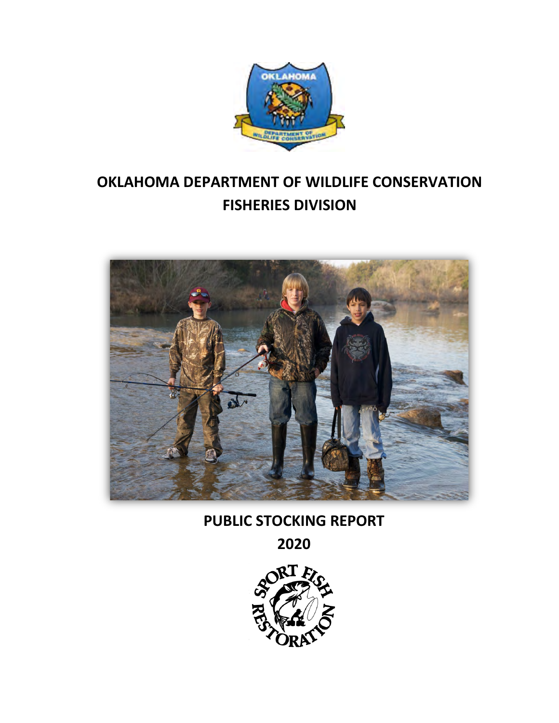

# **OKLAHOMA DEPARTMENT OF WILDLIFE CONSERVATION FISHERIES DIVISION**



**PUBLIC STOCKING REPORT**

**2020**

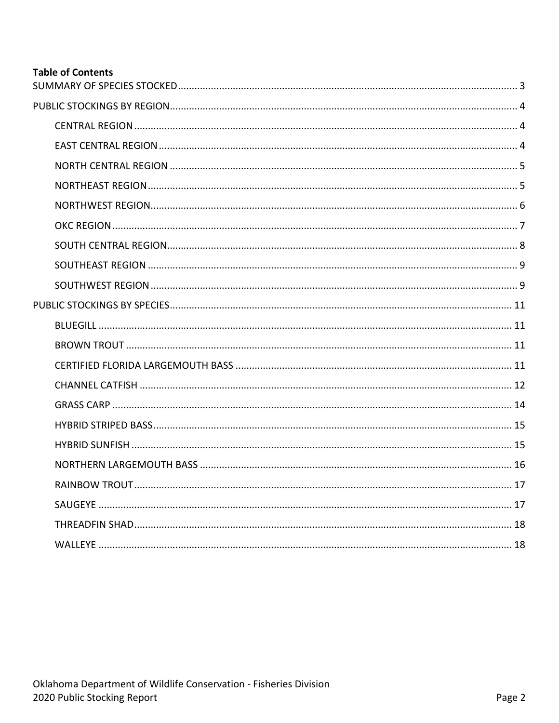## **Table of Contents**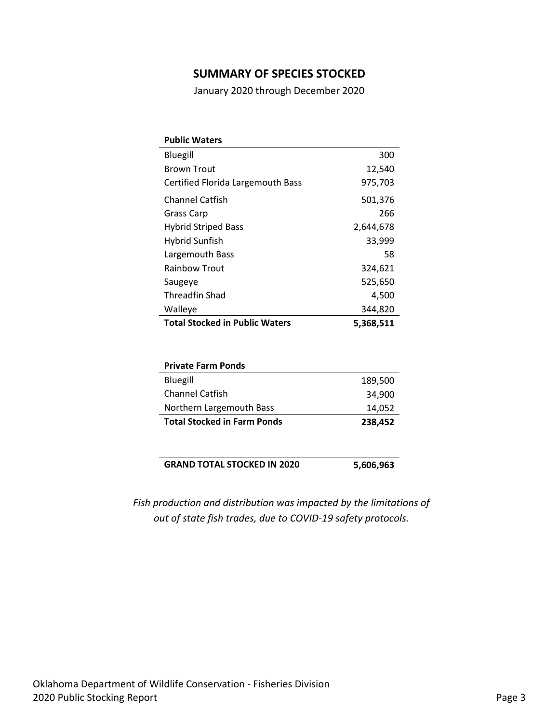## **SUMMARY OF SPECIES STOCKED**

January 2020 through December 2020

<span id="page-2-0"></span>

| <b>Public Waters</b>                  |           |
|---------------------------------------|-----------|
| Bluegill                              | 300       |
| <b>Brown Trout</b>                    | 12,540    |
| Certified Florida Largemouth Bass     | 975,703   |
| <b>Channel Catfish</b>                | 501,376   |
| Grass Carp                            | 266       |
| <b>Hybrid Striped Bass</b>            | 2,644,678 |
| Hybrid Sunfish                        | 33,999    |
| Largemouth Bass                       | 58        |
| <b>Rainbow Trout</b>                  | 324,621   |
| Saugeye                               | 525,650   |
| Threadfin Shad                        | 4,500     |
| Walleye                               | 344,820   |
| <b>Total Stocked in Public Waters</b> | 5,368,511 |

| <b>Private Farm Ponds</b>          |         |
|------------------------------------|---------|
| Bluegill                           | 189,500 |
| <b>Channel Catfish</b>             | 34,900  |
| Northern Largemouth Bass           | 14,052  |
| <b>Total Stocked in Farm Ponds</b> | 238,452 |

**GRAND TOTAL STOCKED IN 2020 5,606,963**

*Fish production and distribution was impacted by the limitations of out of state fish trades, due to COVID-19 safety protocols.*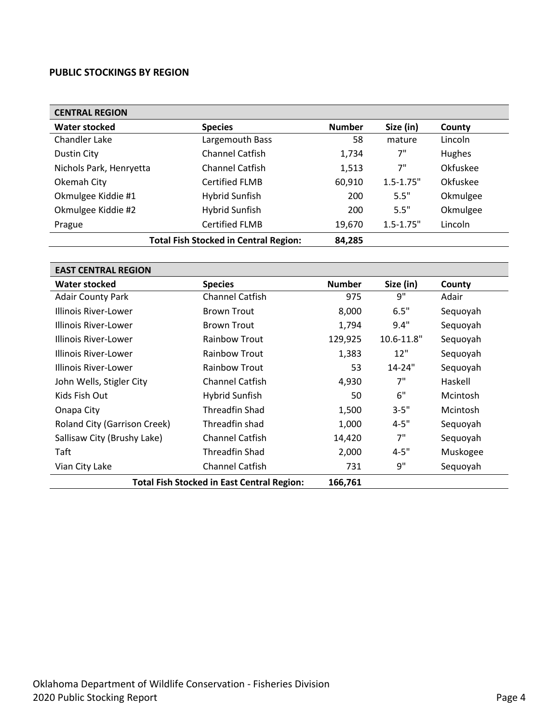#### <span id="page-3-0"></span>**PUBLIC STOCKINGS BY REGION**

<span id="page-3-1"></span>

| <b>CENTRAL REGION</b>   |                                              |               |               |          |
|-------------------------|----------------------------------------------|---------------|---------------|----------|
| <b>Water stocked</b>    | <b>Species</b>                               | <b>Number</b> | Size (in)     | County   |
| Chandler Lake           | Largemouth Bass                              | 58            | mature        | Lincoln  |
| Dustin City             | <b>Channel Catfish</b>                       | 1,734         | 7"            | Hughes   |
| Nichols Park, Henryetta | <b>Channel Catfish</b>                       | 1,513         | 7"            | Okfuskee |
| Okemah City             | <b>Certified FLMB</b>                        | 60,910        | $1.5 - 1.75"$ | Okfuskee |
| Okmulgee Kiddie #1      | Hybrid Sunfish                               | 200           | 5.5"          | Okmulgee |
| Okmulgee Kiddie #2      | Hybrid Sunfish                               | 200           | 5.5"          | Okmulgee |
| Prague                  | <b>Certified FLMB</b>                        | 19,670        | $1.5 - 1.75"$ | Lincoln  |
|                         | <b>Total Fish Stocked in Central Region:</b> | 84,285        |               |          |

<span id="page-3-2"></span>

| <b>EAST CENTRAL REGION</b>          |                                                   |               |            |          |
|-------------------------------------|---------------------------------------------------|---------------|------------|----------|
| Water stocked                       | <b>Species</b>                                    | <b>Number</b> | Size (in)  | County   |
| <b>Adair County Park</b>            | <b>Channel Catfish</b>                            | 975           | 9"         | Adair    |
| Illinois River-Lower                | <b>Brown Trout</b>                                | 8,000         | 6.5"       | Sequoyah |
| Illinois River-Lower                | <b>Brown Trout</b>                                | 1,794         | 9.4"       | Sequoyah |
| Illinois River-Lower                | <b>Rainbow Trout</b>                              | 129,925       | 10.6-11.8" | Sequoyah |
| Illinois River-Lower                | <b>Rainbow Trout</b>                              | 1,383         | 12"        | Sequoyah |
| Illinois River-Lower                | <b>Rainbow Trout</b>                              | 53            | $14 - 24"$ | Sequoyah |
| John Wells, Stigler City            | <b>Channel Catfish</b>                            | 4,930         | 7"         | Haskell  |
| Kids Fish Out                       | Hybrid Sunfish                                    | 50            | 6"         | Mcintosh |
| Onapa City                          | <b>Threadfin Shad</b>                             | 1,500         | $3 - 5"$   | Mcintosh |
| <b>Roland City (Garrison Creek)</b> | Threadfin shad                                    | 1,000         | $4 - 5"$   | Sequoyah |
| Sallisaw City (Brushy Lake)         | <b>Channel Catfish</b>                            | 14,420        | 7"         | Sequoyah |
| Taft                                | <b>Threadfin Shad</b>                             | 2,000         | $4 - 5"$   | Muskogee |
| Vian City Lake                      | <b>Channel Catfish</b>                            | 731           | 9"         | Sequoyah |
|                                     | <b>Total Fish Stocked in East Central Region:</b> | 166,761       |            |          |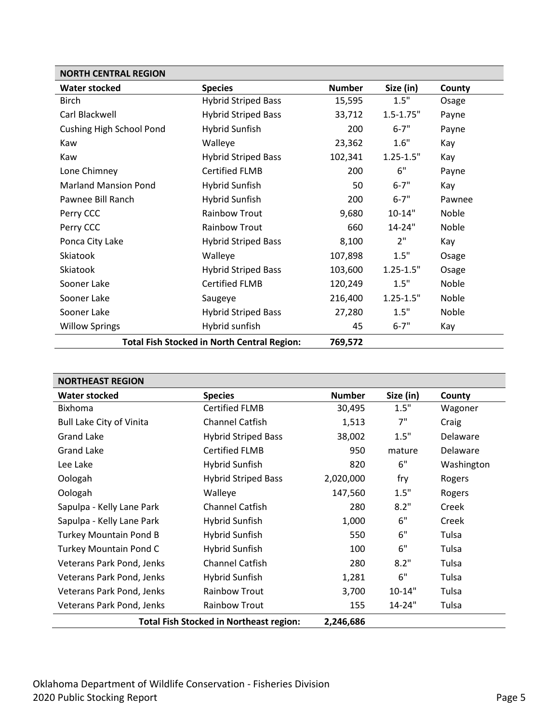<span id="page-4-0"></span>

| <b>NORTH CENTRAL REGION</b>     |                                                    |               |               |        |
|---------------------------------|----------------------------------------------------|---------------|---------------|--------|
| <b>Water stocked</b>            | <b>Species</b>                                     | <b>Number</b> | Size (in)     | County |
| <b>Birch</b>                    | <b>Hybrid Striped Bass</b>                         | 15,595        | 1.5"          | Osage  |
| Carl Blackwell                  | <b>Hybrid Striped Bass</b>                         | 33,712        | $1.5 - 1.75"$ | Payne  |
| <b>Cushing High School Pond</b> | Hybrid Sunfish                                     | 200           | $6 - 7"$      | Payne  |
| Kaw                             | Walleye                                            | 23,362        | 1.6"          | Kay    |
| Kaw                             | <b>Hybrid Striped Bass</b>                         | 102,341       | $1.25 - 1.5"$ | Kay    |
| Lone Chimney                    | <b>Certified FLMB</b>                              | 200           | 6"            | Payne  |
| <b>Marland Mansion Pond</b>     | <b>Hybrid Sunfish</b>                              | 50            | $6 - 7"$      | Kay    |
| Pawnee Bill Ranch               | <b>Hybrid Sunfish</b>                              | 200           | $6 - 7"$      | Pawnee |
| Perry CCC                       | <b>Rainbow Trout</b>                               | 9,680         | $10 - 14"$    | Noble  |
| Perry CCC                       | <b>Rainbow Trout</b>                               | 660           | 14-24"        | Noble  |
| Ponca City Lake                 | <b>Hybrid Striped Bass</b>                         | 8,100         | 2"            | Kay    |
| Skiatook                        | Walleye                                            | 107,898       | 1.5"          | Osage  |
| Skiatook                        | <b>Hybrid Striped Bass</b>                         | 103,600       | $1.25 - 1.5"$ | Osage  |
| Sooner Lake                     | <b>Certified FLMB</b>                              | 120,249       | 1.5"          | Noble  |
| Sooner Lake                     | Saugeye                                            | 216,400       | $1.25 - 1.5"$ | Noble  |
| Sooner Lake                     | <b>Hybrid Striped Bass</b>                         | 27,280        | 1.5"          | Noble  |
| <b>Willow Springs</b>           | Hybrid sunfish                                     | 45            | $6 - 7"$      | Kay    |
|                                 | <b>Total Fish Stocked in North Central Region:</b> | 769,572       |               |        |

<span id="page-4-1"></span>

| <b>NORTHEAST REGION</b>         |                                                |               |            |            |
|---------------------------------|------------------------------------------------|---------------|------------|------------|
| <b>Water stocked</b>            | <b>Species</b>                                 | <b>Number</b> | Size (in)  | County     |
| <b>Bixhoma</b>                  | <b>Certified FLMB</b>                          | 30,495        | 1.5"       | Wagoner    |
| <b>Bull Lake City of Vinita</b> | <b>Channel Catfish</b>                         | 1,513         | 7"         | Craig      |
| <b>Grand Lake</b>               | <b>Hybrid Striped Bass</b>                     | 38,002        | 1.5"       | Delaware   |
| <b>Grand Lake</b>               | <b>Certified FLMB</b>                          | 950           | mature     | Delaware   |
| Lee Lake                        | Hybrid Sunfish                                 | 820           | 6"         | Washington |
| Oologah                         | <b>Hybrid Striped Bass</b>                     | 2,020,000     | fry        | Rogers     |
| Oologah                         | Walleye                                        | 147,560       | 1.5"       | Rogers     |
| Sapulpa - Kelly Lane Park       | <b>Channel Catfish</b>                         | 280           | 8.2"       | Creek      |
| Sapulpa - Kelly Lane Park       | Hybrid Sunfish                                 | 1,000         | 6"         | Creek      |
| Turkey Mountain Pond B          | Hybrid Sunfish                                 | 550           | 6"         | Tulsa      |
| Turkey Mountain Pond C          | Hybrid Sunfish                                 | 100           | 6"         | Tulsa      |
| Veterans Park Pond, Jenks       | <b>Channel Catfish</b>                         | 280           | 8.2"       | Tulsa      |
| Veterans Park Pond, Jenks       | Hybrid Sunfish                                 | 1,281         | 6"         | Tulsa      |
| Veterans Park Pond, Jenks       | <b>Rainbow Trout</b>                           | 3,700         | $10 - 14"$ | Tulsa      |
| Veterans Park Pond, Jenks       | <b>Rainbow Trout</b>                           | 155           | 14-24"     | Tulsa      |
|                                 | <b>Total Fish Stocked in Northeast region:</b> | 2,246,686     |            |            |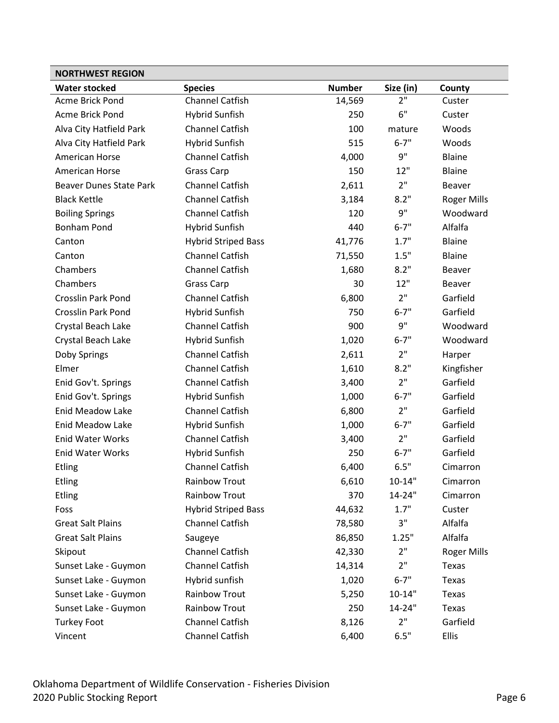<span id="page-5-0"></span>

| <b>NORTHWEST REGION</b>        |                            |               |            |                    |
|--------------------------------|----------------------------|---------------|------------|--------------------|
| <b>Water stocked</b>           | <b>Species</b>             | <b>Number</b> | Size (in)  | County             |
| <b>Acme Brick Pond</b>         | <b>Channel Catfish</b>     | 14,569        | 2"         | Custer             |
| <b>Acme Brick Pond</b>         | <b>Hybrid Sunfish</b>      | 250           | 6"         | Custer             |
| Alva City Hatfield Park        | Channel Catfish            | 100           | mature     | Woods              |
| Alva City Hatfield Park        | <b>Hybrid Sunfish</b>      | 515           | $6 - 7"$   | Woods              |
| American Horse                 | Channel Catfish            | 4,000         | 9"         | Blaine             |
| American Horse                 | Grass Carp                 | 150           | 12"        | Blaine             |
| <b>Beaver Dunes State Park</b> | Channel Catfish            | 2,611         | 2"         | <b>Beaver</b>      |
| <b>Black Kettle</b>            | Channel Catfish            | 3,184         | 8.2"       | Roger Mills        |
| <b>Boiling Springs</b>         | Channel Catfish            | 120           | 9"         | Woodward           |
| <b>Bonham Pond</b>             | <b>Hybrid Sunfish</b>      | 440           | $6 - 7"$   | Alfalfa            |
| Canton                         | <b>Hybrid Striped Bass</b> | 41,776        | 1.7"       | Blaine             |
| Canton                         | Channel Catfish            | 71,550        | 1.5"       | Blaine             |
| Chambers                       | <b>Channel Catfish</b>     | 1,680         | 8.2"       | <b>Beaver</b>      |
| Chambers                       | <b>Grass Carp</b>          | 30            | 12"        | Beaver             |
| <b>Crosslin Park Pond</b>      | <b>Channel Catfish</b>     | 6,800         | 2"         | Garfield           |
| <b>Crosslin Park Pond</b>      | Hybrid Sunfish             | 750           | $6 - 7"$   | Garfield           |
| Crystal Beach Lake             | Channel Catfish            | 900           | 9"         | Woodward           |
| Crystal Beach Lake             | <b>Hybrid Sunfish</b>      | 1,020         | $6 - 7"$   | Woodward           |
| Doby Springs                   | Channel Catfish            | 2,611         | 2"         | Harper             |
| Elmer                          | <b>Channel Catfish</b>     | 1,610         | 8.2"       | Kingfisher         |
| Enid Gov't. Springs            | Channel Catfish            | 3,400         | 2"         | Garfield           |
| Enid Gov't. Springs            | <b>Hybrid Sunfish</b>      | 1,000         | $6 - 7"$   | Garfield           |
| <b>Enid Meadow Lake</b>        | <b>Channel Catfish</b>     | 6,800         | 2"         | Garfield           |
| <b>Enid Meadow Lake</b>        | <b>Hybrid Sunfish</b>      | 1,000         | $6 - 7"$   | Garfield           |
| <b>Enid Water Works</b>        | Channel Catfish            | 3,400         | 2"         | Garfield           |
| <b>Enid Water Works</b>        | <b>Hybrid Sunfish</b>      | 250           | $6 - 7"$   | Garfield           |
| <b>Etling</b>                  | <b>Channel Catfish</b>     | 6,400         | 6.5"       | Cimarron           |
| <b>Etling</b>                  | Rainbow Trout              | 6,610         | $10 - 14"$ | Cimarron           |
| Etling                         | <b>Rainbow Trout</b>       | 370           | 14-24"     | Cimarron           |
| Foss                           | <b>Hybrid Striped Bass</b> | 44,632        | 1.7"       | Custer             |
| <b>Great Salt Plains</b>       | Channel Catfish            | 78,580        | 3"         | Alfalfa            |
| <b>Great Salt Plains</b>       | Saugeye                    | 86,850        | 1.25"      | Alfalfa            |
| Skipout                        | Channel Catfish            | 42,330        | 2"         | <b>Roger Mills</b> |
| Sunset Lake - Guymon           | <b>Channel Catfish</b>     | 14,314        | 2"         | Texas              |
| Sunset Lake - Guymon           | Hybrid sunfish             | 1,020         | $6 - 7"$   | Texas              |
| Sunset Lake - Guymon           | <b>Rainbow Trout</b>       | 5,250         | $10 - 14"$ | Texas              |
| Sunset Lake - Guymon           | Rainbow Trout              | 250           | 14-24"     | Texas              |
| <b>Turkey Foot</b>             | Channel Catfish            | 8,126         | 2"         | Garfield           |
| Vincent                        | Channel Catfish            | 6,400         | 6.5"       | Ellis              |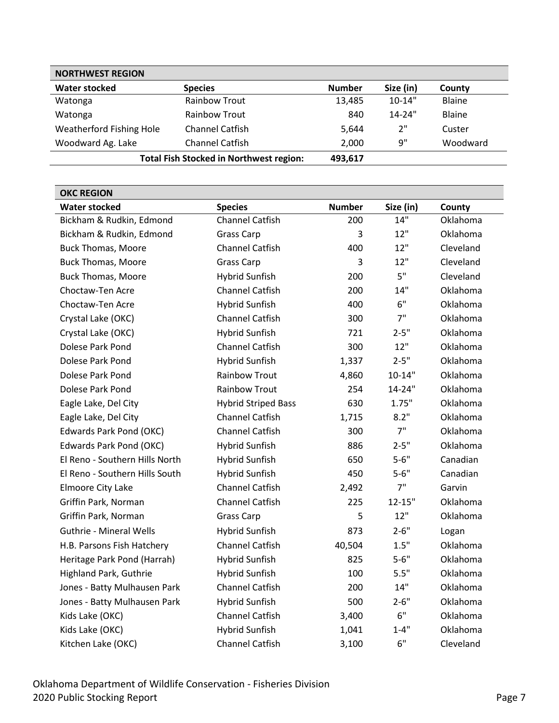| <b>NORTHWEST REGION</b>  |                                                |               |            |               |
|--------------------------|------------------------------------------------|---------------|------------|---------------|
| <b>Water stocked</b>     | <b>Species</b>                                 | <b>Number</b> | Size (in)  | County        |
| Watonga                  | <b>Rainbow Trout</b>                           | 13,485        | $10 - 14"$ | <b>Blaine</b> |
| Watonga                  | <b>Rainbow Trout</b>                           | 840           | $14 - 24"$ | <b>Blaine</b> |
| Weatherford Fishing Hole | <b>Channel Catfish</b>                         | 5.644         | 2"         | Custer        |
| Woodward Ag. Lake        | <b>Channel Catfish</b>                         | 2,000         | q"         | Woodward      |
|                          | <b>Total Fish Stocked in Northwest region:</b> | 493,617       |            |               |

<span id="page-6-0"></span>

| <b>OKC REGION</b>              |                            |               |            |           |
|--------------------------------|----------------------------|---------------|------------|-----------|
| <b>Water stocked</b>           | <b>Species</b>             | <b>Number</b> | Size (in)  | County    |
| Bickham & Rudkin, Edmond       | <b>Channel Catfish</b>     | 200           | 14"        | Oklahoma  |
| Bickham & Rudkin, Edmond       | <b>Grass Carp</b>          | 3             | 12"        | Oklahoma  |
| <b>Buck Thomas, Moore</b>      | <b>Channel Catfish</b>     | 400           | 12"        | Cleveland |
| <b>Buck Thomas, Moore</b>      | <b>Grass Carp</b>          | 3             | 12"        | Cleveland |
| <b>Buck Thomas, Moore</b>      | <b>Hybrid Sunfish</b>      | 200           | 5"         | Cleveland |
| Choctaw-Ten Acre               | <b>Channel Catfish</b>     | 200           | 14"        | Oklahoma  |
| Choctaw-Ten Acre               | <b>Hybrid Sunfish</b>      | 400           | 6"         | Oklahoma  |
| Crystal Lake (OKC)             | <b>Channel Catfish</b>     | 300           | 7"         | Oklahoma  |
| Crystal Lake (OKC)             | <b>Hybrid Sunfish</b>      | 721           | $2 - 5"$   | Oklahoma  |
| Dolese Park Pond               | <b>Channel Catfish</b>     | 300           | 12"        | Oklahoma  |
| Dolese Park Pond               | <b>Hybrid Sunfish</b>      | 1,337         | $2 - 5"$   | Oklahoma  |
| Dolese Park Pond               | <b>Rainbow Trout</b>       | 4,860         | $10 - 14"$ | Oklahoma  |
| Dolese Park Pond               | <b>Rainbow Trout</b>       | 254           | 14-24"     | Oklahoma  |
| Eagle Lake, Del City           | <b>Hybrid Striped Bass</b> | 630           | 1.75"      | Oklahoma  |
| Eagle Lake, Del City           | <b>Channel Catfish</b>     | 1,715         | 8.2"       | Oklahoma  |
| Edwards Park Pond (OKC)        | <b>Channel Catfish</b>     | 300           | 7"         | Oklahoma  |
| Edwards Park Pond (OKC)        | <b>Hybrid Sunfish</b>      | 886           | $2 - 5"$   | Oklahoma  |
| El Reno - Southern Hills North | <b>Hybrid Sunfish</b>      | 650           | $5 - 6"$   | Canadian  |
| El Reno - Southern Hills South | <b>Hybrid Sunfish</b>      | 450           | $5 - 6"$   | Canadian  |
| Elmoore City Lake              | <b>Channel Catfish</b>     | 2,492         | 7"         | Garvin    |
| Griffin Park, Norman           | <b>Channel Catfish</b>     | 225           | $12 - 15"$ | Oklahoma  |
| Griffin Park, Norman           | Grass Carp                 | 5             | 12"        | Oklahoma  |
| <b>Guthrie - Mineral Wells</b> | <b>Hybrid Sunfish</b>      | 873           | $2 - 6"$   | Logan     |
| H.B. Parsons Fish Hatchery     | <b>Channel Catfish</b>     | 40,504        | 1.5"       | Oklahoma  |
| Heritage Park Pond (Harrah)    | <b>Hybrid Sunfish</b>      | 825           | $5 - 6"$   | Oklahoma  |
| <b>Highland Park, Guthrie</b>  | <b>Hybrid Sunfish</b>      | 100           | 5.5"       | Oklahoma  |
| Jones - Batty Mulhausen Park   | <b>Channel Catfish</b>     | 200           | 14"        | Oklahoma  |
| Jones - Batty Mulhausen Park   | <b>Hybrid Sunfish</b>      | 500           | $2 - 6"$   | Oklahoma  |
| Kids Lake (OKC)                | <b>Channel Catfish</b>     | 3,400         | 6"         | Oklahoma  |
| Kids Lake (OKC)                | <b>Hybrid Sunfish</b>      | 1,041         | $1 - 4"$   | Oklahoma  |
| Kitchen Lake (OKC)             | <b>Channel Catfish</b>     | 3,100         | 6"         | Cleveland |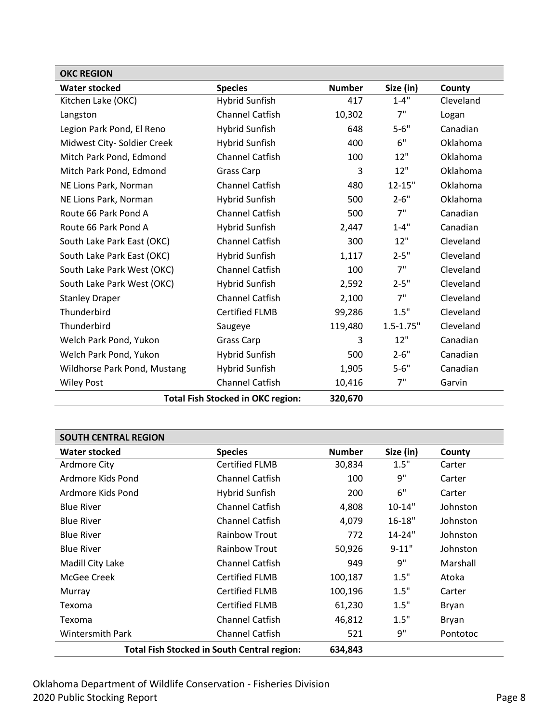| <b>OKC REGION</b>                                   |                        |               |               |           |
|-----------------------------------------------------|------------------------|---------------|---------------|-----------|
| <b>Water stocked</b>                                | <b>Species</b>         | <b>Number</b> | Size (in)     | County    |
| Kitchen Lake (OKC)                                  | Hybrid Sunfish         | 417           | $1 - 4"$      | Cleveland |
| Langston                                            | <b>Channel Catfish</b> | 10,302        | 7"            | Logan     |
| Legion Park Pond, El Reno                           | <b>Hybrid Sunfish</b>  | 648           | $5 - 6"$      | Canadian  |
| Midwest City-Soldier Creek                          | Hybrid Sunfish         | 400           | 6"            | Oklahoma  |
| Mitch Park Pond, Edmond                             | <b>Channel Catfish</b> | 100           | 12"           | Oklahoma  |
| Mitch Park Pond, Edmond                             | <b>Grass Carp</b>      | 3             | 12"           | Oklahoma  |
| NE Lions Park, Norman                               | <b>Channel Catfish</b> | 480           | $12 - 15"$    | Oklahoma  |
| NE Lions Park, Norman                               | <b>Hybrid Sunfish</b>  | 500           | $2 - 6"$      | Oklahoma  |
| Route 66 Park Pond A                                | <b>Channel Catfish</b> | 500           | 7"            | Canadian  |
| Route 66 Park Pond A                                | Hybrid Sunfish         | 2,447         | $1 - 4"$      | Canadian  |
| South Lake Park East (OKC)                          | <b>Channel Catfish</b> | 300           | 12"           | Cleveland |
| South Lake Park East (OKC)                          | Hybrid Sunfish         | 1,117         | $2 - 5"$      | Cleveland |
| South Lake Park West (OKC)                          | <b>Channel Catfish</b> | 100           | 7"            | Cleveland |
| South Lake Park West (OKC)                          | Hybrid Sunfish         | 2,592         | $2 - 5"$      | Cleveland |
| <b>Stanley Draper</b>                               | <b>Channel Catfish</b> | 2,100         | 7"            | Cleveland |
| Thunderbird                                         | <b>Certified FLMB</b>  | 99,286        | 1.5"          | Cleveland |
| Thunderbird                                         | Saugeye                | 119,480       | $1.5 - 1.75"$ | Cleveland |
| Welch Park Pond, Yukon                              | <b>Grass Carp</b>      | 3             | 12"           | Canadian  |
| Welch Park Pond, Yukon                              | <b>Hybrid Sunfish</b>  | 500           | $2 - 6"$      | Canadian  |
| Wildhorse Park Pond, Mustang                        | Hybrid Sunfish         | 1,905         | $5 - 6"$      | Canadian  |
| <b>Wiley Post</b>                                   | <b>Channel Catfish</b> | 10,416        | 7"            | Garvin    |
| <b>Total Fish Stocked in OKC region:</b><br>320,670 |                        |               |               |           |

<span id="page-7-0"></span>

| <b>SOUTH CENTRAL REGION</b> |                                                    |               |            |              |
|-----------------------------|----------------------------------------------------|---------------|------------|--------------|
| <b>Water stocked</b>        | <b>Species</b>                                     | <b>Number</b> | Size (in)  | County       |
| Ardmore City                | <b>Certified FLMB</b>                              | 30,834        | 1.5"       | Carter       |
| Ardmore Kids Pond           | <b>Channel Catfish</b>                             | 100           | 9"         | Carter       |
| Ardmore Kids Pond           | Hybrid Sunfish                                     | 200           | 6"         | Carter       |
| <b>Blue River</b>           | <b>Channel Catfish</b>                             | 4,808         | $10-14"$   | Johnston     |
| <b>Blue River</b>           | <b>Channel Catfish</b>                             | 4,079         | $16 - 18"$ | Johnston     |
| <b>Blue River</b>           | <b>Rainbow Trout</b>                               | 772           | $14 - 24"$ | Johnston     |
| <b>Blue River</b>           | <b>Rainbow Trout</b>                               | 50,926        | $9 - 11"$  | Johnston     |
| Madill City Lake            | <b>Channel Catfish</b>                             | 949           | 9"         | Marshall     |
| McGee Creek                 | <b>Certified FLMB</b>                              | 100,187       | 1.5"       | Atoka        |
| Murray                      | Certified FLMB                                     | 100,196       | 1.5"       | Carter       |
| Texoma                      | <b>Certified FLMB</b>                              | 61,230        | 1.5"       | <b>Bryan</b> |
| Texoma                      | <b>Channel Catfish</b>                             | 46,812        | 1.5"       | <b>Bryan</b> |
| <b>Wintersmith Park</b>     | <b>Channel Catfish</b>                             | 521           | 9"         | Pontotoc     |
|                             | <b>Total Fish Stocked in South Central region:</b> | 634,843       |            |              |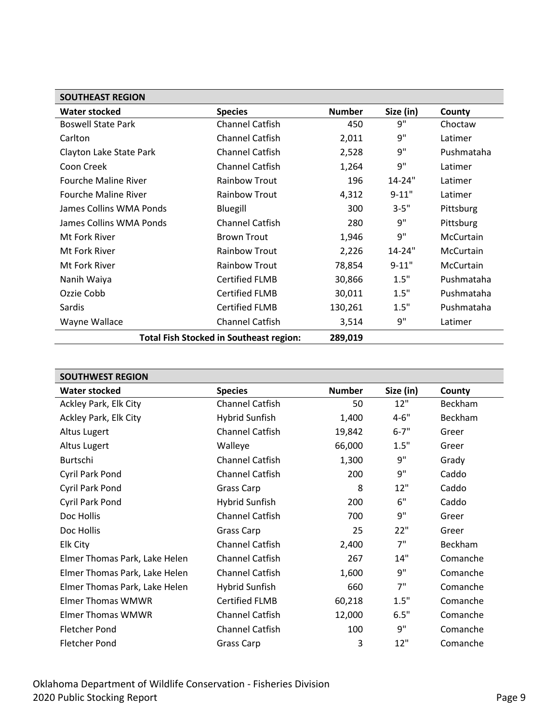<span id="page-8-0"></span>

| <b>SOUTHEAST REGION</b>     |                                                |               |            |                  |
|-----------------------------|------------------------------------------------|---------------|------------|------------------|
| Water stocked               | <b>Species</b>                                 | <b>Number</b> | Size (in)  | County           |
| <b>Boswell State Park</b>   | <b>Channel Catfish</b>                         | 450           | 9"         | Choctaw          |
| Carlton                     | <b>Channel Catfish</b>                         | 2,011         | 9"         | Latimer          |
| Clayton Lake State Park     | <b>Channel Catfish</b>                         | 2,528         | 9"         | Pushmataha       |
| Coon Creek                  | <b>Channel Catfish</b>                         | 1,264         | 9"         | Latimer          |
| <b>Fourche Maline River</b> | <b>Rainbow Trout</b>                           | 196           | $14 - 24"$ | Latimer          |
| <b>Fourche Maline River</b> | <b>Rainbow Trout</b>                           | 4,312         | $9 - 11"$  | Latimer          |
| James Collins WMA Ponds     | Bluegill                                       | 300           | $3 - 5"$   | Pittsburg        |
| James Collins WMA Ponds     | <b>Channel Catfish</b>                         | 280           | 9"         | Pittsburg        |
| Mt Fork River               | <b>Brown Trout</b>                             | 1,946         | 9"         | <b>McCurtain</b> |
| Mt Fork River               | <b>Rainbow Trout</b>                           | 2,226         | $14 - 24"$ | <b>McCurtain</b> |
| Mt Fork River               | <b>Rainbow Trout</b>                           | 78,854        | $9 - 11"$  | <b>McCurtain</b> |
| Nanih Waiya                 | <b>Certified FLMB</b>                          | 30,866        | 1.5"       | Pushmataha       |
| Ozzie Cobb                  | <b>Certified FLMB</b>                          | 30,011        | 1.5"       | Pushmataha       |
| Sardis                      | <b>Certified FLMB</b>                          | 130,261       | 1.5"       | Pushmataha       |
| Wayne Wallace               | <b>Channel Catfish</b>                         | 3,514         | 9"         | Latimer          |
|                             | <b>Total Fish Stocked in Southeast region:</b> | 289,019       |            |                  |

<span id="page-8-1"></span>

| <b>SOUTHWEST REGION</b>       |                        |               |           |          |
|-------------------------------|------------------------|---------------|-----------|----------|
| <b>Water stocked</b>          | <b>Species</b>         | <b>Number</b> | Size (in) | County   |
| Ackley Park, Elk City         | <b>Channel Catfish</b> | 50            | 12"       | Beckham  |
| Ackley Park, Elk City         | <b>Hybrid Sunfish</b>  | 1,400         | $4 - 6"$  | Beckham  |
| Altus Lugert                  | <b>Channel Catfish</b> | 19,842        | $6 - 7"$  | Greer    |
| Altus Lugert                  | Walleye                | 66,000        | 1.5"      | Greer    |
| Burtschi                      | <b>Channel Catfish</b> | 1,300         | 9"        | Grady    |
| Cyril Park Pond               | <b>Channel Catfish</b> | 200           | 9"        | Caddo    |
| Cyril Park Pond               | Grass Carp             | 8             | 12"       | Caddo    |
| Cyril Park Pond               | <b>Hybrid Sunfish</b>  | 200           | 6"        | Caddo    |
| Doc Hollis                    | <b>Channel Catfish</b> | 700           | 9"        | Greer    |
| Doc Hollis                    | Grass Carp             | 25            | 22"       | Greer    |
| Elk City                      | <b>Channel Catfish</b> | 2,400         | 7"        | Beckham  |
| Elmer Thomas Park, Lake Helen | <b>Channel Catfish</b> | 267           | 14"       | Comanche |
| Elmer Thomas Park, Lake Helen | <b>Channel Catfish</b> | 1,600         | 9"        | Comanche |
| Elmer Thomas Park, Lake Helen | <b>Hybrid Sunfish</b>  | 660           | 7"        | Comanche |
| <b>Elmer Thomas WMWR</b>      | <b>Certified FLMB</b>  | 60,218        | 1.5"      | Comanche |
| <b>Elmer Thomas WMWR</b>      | Channel Catfish        | 12,000        | 6.5"      | Comanche |
| <b>Fletcher Pond</b>          | <b>Channel Catfish</b> | 100           | 9"        | Comanche |
| <b>Fletcher Pond</b>          | Grass Carp             | 3             | 12"       | Comanche |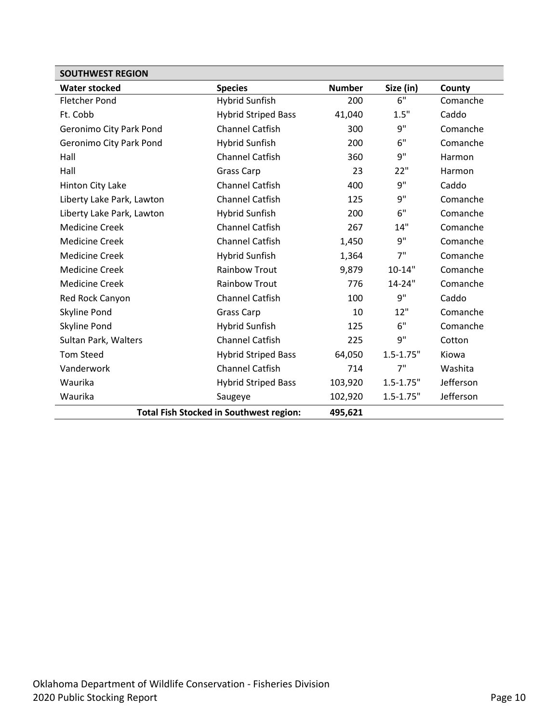| <b>SOUTHWEST REGION</b>   |                                                |               |               |           |  |
|---------------------------|------------------------------------------------|---------------|---------------|-----------|--|
| <b>Water stocked</b>      | <b>Species</b>                                 | <b>Number</b> | Size (in)     | County    |  |
| <b>Fletcher Pond</b>      | <b>Hybrid Sunfish</b>                          | 200           | 6"            | Comanche  |  |
| Ft. Cobb                  | <b>Hybrid Striped Bass</b>                     | 41,040        | 1.5"          | Caddo     |  |
| Geronimo City Park Pond   | <b>Channel Catfish</b>                         | 300           | 9"            | Comanche  |  |
| Geronimo City Park Pond   | <b>Hybrid Sunfish</b>                          | 200           | 6"            | Comanche  |  |
| Hall                      | <b>Channel Catfish</b>                         | 360           | 9"            | Harmon    |  |
| Hall                      | Grass Carp                                     | 23            | 22"           | Harmon    |  |
| Hinton City Lake          | <b>Channel Catfish</b>                         | 400           | 9"            | Caddo     |  |
| Liberty Lake Park, Lawton | <b>Channel Catfish</b>                         | 125           | 9"            | Comanche  |  |
| Liberty Lake Park, Lawton | Hybrid Sunfish                                 | 200           | 6"            | Comanche  |  |
| <b>Medicine Creek</b>     | <b>Channel Catfish</b>                         | 267           | 14"           | Comanche  |  |
| <b>Medicine Creek</b>     | <b>Channel Catfish</b>                         | 1,450         | 9"            | Comanche  |  |
| <b>Medicine Creek</b>     | <b>Hybrid Sunfish</b>                          | 1,364         | 7"            | Comanche  |  |
| <b>Medicine Creek</b>     | <b>Rainbow Trout</b>                           | 9,879         | $10 - 14"$    | Comanche  |  |
| <b>Medicine Creek</b>     | <b>Rainbow Trout</b>                           | 776           | 14-24"        | Comanche  |  |
| Red Rock Canyon           | <b>Channel Catfish</b>                         | 100           | 9"            | Caddo     |  |
| Skyline Pond              | <b>Grass Carp</b>                              | 10            | 12"           | Comanche  |  |
| Skyline Pond              | <b>Hybrid Sunfish</b>                          | 125           | 6"            | Comanche  |  |
| Sultan Park, Walters      | <b>Channel Catfish</b>                         | 225           | 9"            | Cotton    |  |
| <b>Tom Steed</b>          | <b>Hybrid Striped Bass</b>                     | 64,050        | $1.5 - 1.75"$ | Kiowa     |  |
| Vanderwork                | <b>Channel Catfish</b>                         | 714           | 7"            | Washita   |  |
| Waurika                   | <b>Hybrid Striped Bass</b>                     | 103,920       | $1.5 - 1.75"$ | Jefferson |  |
| Waurika                   | Saugeye                                        | 102,920       | $1.5 - 1.75"$ | Jefferson |  |
|                           | <b>Total Fish Stocked in Southwest region:</b> | 495,621       |               |           |  |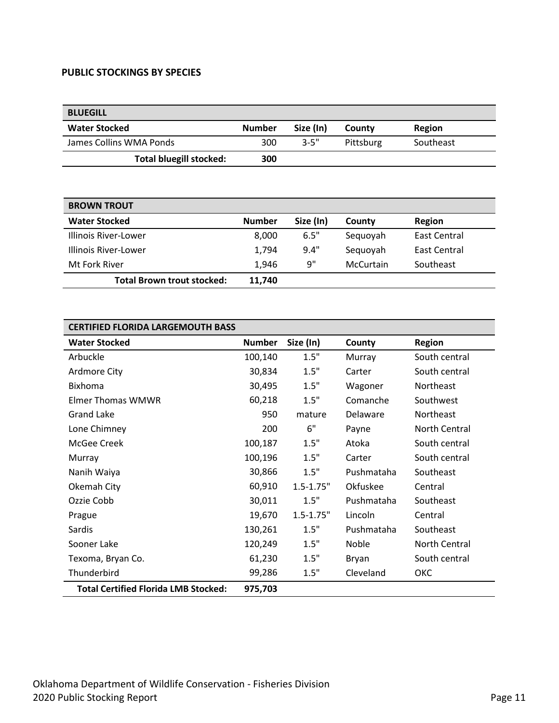#### <span id="page-10-0"></span>**PUBLIC STOCKINGS BY SPECIES**

<span id="page-10-1"></span>

| <b>BLUEGILL</b>                |               |           |           |           |
|--------------------------------|---------------|-----------|-----------|-----------|
| <b>Water Stocked</b>           | <b>Number</b> | Size (In) | County    | Region    |
| James Collins WMA Ponds        | 300           | $3 - 5"$  | Pittsburg | Southeast |
| <b>Total bluegill stocked:</b> | 300           |           |           |           |

<span id="page-10-2"></span>

| <b>BROWN TROUT</b>                |               |           |           |              |
|-----------------------------------|---------------|-----------|-----------|--------------|
| <b>Water Stocked</b>              | <b>Number</b> | Size (In) | County    | Region       |
| Illinois River-Lower              | 8.000         | 6.5"      | Sequoyah  | East Central |
| Illinois River-Lower              | 1.794         | 9.4"      | Seguoyah  | East Central |
| Mt Fork River                     | 1.946         | 9"        | McCurtain | Southeast    |
| <b>Total Brown trout stocked:</b> | 11.740        |           |           |              |

<span id="page-10-3"></span>

| <b>CERTIFIED FLORIDA LARGEMOUTH BASS</b>    |               |               |            |               |
|---------------------------------------------|---------------|---------------|------------|---------------|
| <b>Water Stocked</b>                        | <b>Number</b> | Size (In)     | County     | <b>Region</b> |
| Arbuckle                                    | 100,140       | 1.5"          | Murray     | South central |
| Ardmore City                                | 30,834        | 1.5"          | Carter     | South central |
| <b>Bixhoma</b>                              | 30,495        | 1.5"          | Wagoner    | Northeast     |
| <b>Elmer Thomas WMWR</b>                    | 60,218        | 1.5"          | Comanche   | Southwest     |
| <b>Grand Lake</b>                           | 950           | mature        | Delaware   | Northeast     |
| Lone Chimney                                | 200           | 6"            | Payne      | North Central |
| McGee Creek                                 | 100,187       | 1.5"          | Atoka      | South central |
| Murray                                      | 100,196       | 1.5"          | Carter     | South central |
| Nanih Waiya                                 | 30,866        | 1.5"          | Pushmataha | Southeast     |
| Okemah City                                 | 60,910        | $1.5 - 1.75"$ | Okfuskee   | Central       |
| Ozzie Cobb                                  | 30,011        | 1.5"          | Pushmataha | Southeast     |
| Prague                                      | 19,670        | $1.5 - 1.75"$ | Lincoln    | Central       |
| Sardis                                      | 130,261       | 1.5"          | Pushmataha | Southeast     |
| Sooner Lake                                 | 120,249       | 1.5"          | Noble      | North Central |
| Texoma, Bryan Co.                           | 61,230        | 1.5"          | Bryan      | South central |
| Thunderbird                                 | 99,286        | 1.5"          | Cleveland  | ОКС           |
| <b>Total Certified Florida LMB Stocked:</b> | 975,703       |               |            |               |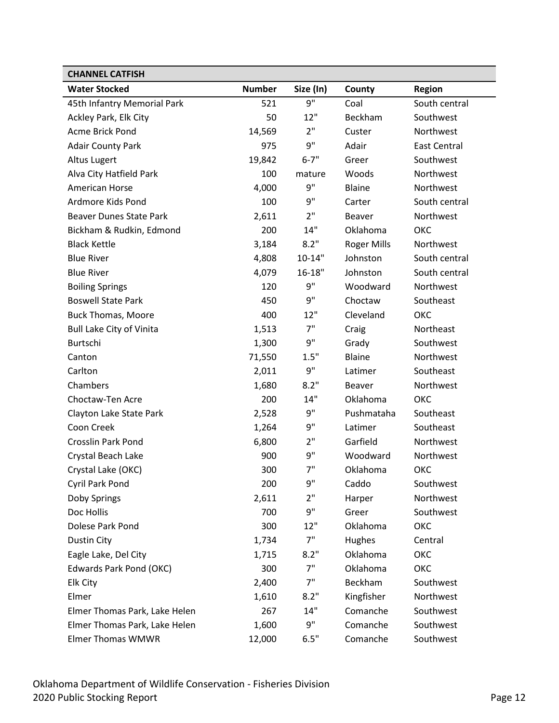<span id="page-11-0"></span>

| <b>CHANNEL CATFISH</b>          |               |            |                    |                     |
|---------------------------------|---------------|------------|--------------------|---------------------|
| <b>Water Stocked</b>            | <b>Number</b> | Size (In)  | County             | <b>Region</b>       |
| 45th Infantry Memorial Park     | 521           | 9"         | Coal               | South central       |
| Ackley Park, Elk City           | 50            | 12"        | Beckham            | Southwest           |
| <b>Acme Brick Pond</b>          | 14,569        | 2"         | Custer             | Northwest           |
| <b>Adair County Park</b>        | 975           | 9"         | Adair              | <b>East Central</b> |
| Altus Lugert                    | 19,842        | $6 - 7"$   | Greer              | Southwest           |
| Alva City Hatfield Park         | 100           | mature     | Woods              | Northwest           |
| American Horse                  | 4,000         | 9"         | Blaine             | Northwest           |
| Ardmore Kids Pond               | 100           | 9"         | Carter             | South central       |
| <b>Beaver Dunes State Park</b>  | 2,611         | 2"         | <b>Beaver</b>      | Northwest           |
| Bickham & Rudkin, Edmond        | 200           | 14"        | Oklahoma           | ОКС                 |
| <b>Black Kettle</b>             | 3,184         | 8.2"       | <b>Roger Mills</b> | Northwest           |
| <b>Blue River</b>               | 4,808         | $10 - 14"$ | Johnston           | South central       |
| <b>Blue River</b>               | 4,079         | $16 - 18"$ | Johnston           | South central       |
| <b>Boiling Springs</b>          | 120           | 9"         | Woodward           | Northwest           |
| <b>Boswell State Park</b>       | 450           | 9"         | Choctaw            | Southeast           |
| <b>Buck Thomas, Moore</b>       | 400           | 12"        | Cleveland          | ОКС                 |
| <b>Bull Lake City of Vinita</b> | 1,513         | 7"         | Craig              | Northeast           |
| Burtschi                        | 1,300         | 9"         | Grady              | Southwest           |
| Canton                          | 71,550        | 1.5"       | Blaine             | Northwest           |
| Carlton                         | 2,011         | 9"         | Latimer            | Southeast           |
| Chambers                        | 1,680         | 8.2"       | Beaver             | Northwest           |
| Choctaw-Ten Acre                | 200           | 14"        | Oklahoma           | ОКС                 |
| Clayton Lake State Park         | 2,528         | 9"         | Pushmataha         | Southeast           |
| Coon Creek                      | 1,264         | 9"         | Latimer            | Southeast           |
| <b>Crosslin Park Pond</b>       | 6,800         | 2"         | Garfield           | Northwest           |
| Crystal Beach Lake              | 900           | 9"         | Woodward           | Northwest           |
| Crystal Lake (OKC)              | 300           | 7"         | Oklahoma           | ОКС                 |
| Cyril Park Pond                 | 200           | 9"         | Caddo              | Southwest           |
| Doby Springs                    | 2,611         | 2"         | Harper             | Northwest           |
| Doc Hollis                      | 700           | 9"         | Greer              | Southwest           |
| Dolese Park Pond                | 300           | 12"        | Oklahoma           | ОКС                 |
| Dustin City                     | 1,734         | 7"         | Hughes             | Central             |
| Eagle Lake, Del City            | 1,715         | 8.2"       | Oklahoma           | ОКС                 |
| Edwards Park Pond (OKC)         | 300           | 7"         | Oklahoma           | ОКС                 |
| Elk City                        | 2,400         | 7"         | Beckham            | Southwest           |
| Elmer                           | 1,610         | 8.2"       | Kingfisher         | Northwest           |
| Elmer Thomas Park, Lake Helen   | 267           | 14"        | Comanche           | Southwest           |
| Elmer Thomas Park, Lake Helen   | 1,600         | 9"         | Comanche           | Southwest           |
| <b>Elmer Thomas WMWR</b>        | 12,000        | 6.5"       | Comanche           | Southwest           |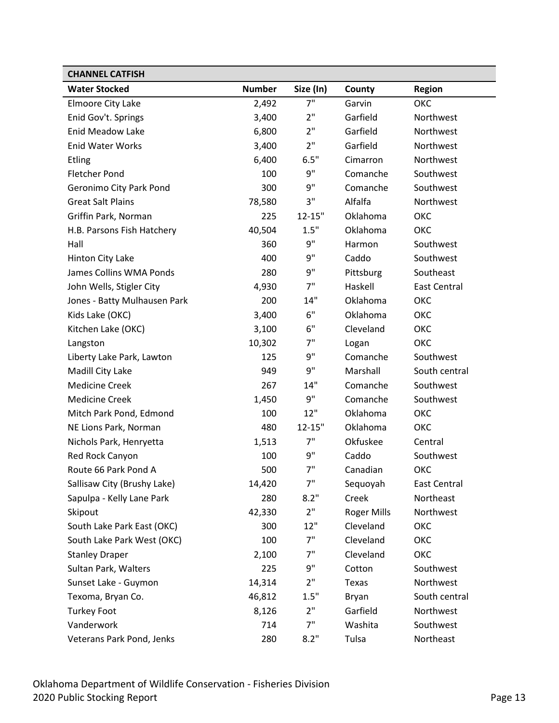| <b>CHANNEL CATFISH</b>       |               |            |             |                     |
|------------------------------|---------------|------------|-------------|---------------------|
| <b>Water Stocked</b>         | <b>Number</b> | Size (In)  | County      | <b>Region</b>       |
| Elmoore City Lake            | 2,492         | 7"         | Garvin      | ОКС                 |
| Enid Gov't. Springs          | 3,400         | 2"         | Garfield    | Northwest           |
| <b>Enid Meadow Lake</b>      | 6,800         | 2"         | Garfield    | Northwest           |
| <b>Enid Water Works</b>      | 3,400         | 2"         | Garfield    | Northwest           |
| <b>Etling</b>                | 6,400         | 6.5"       | Cimarron    | Northwest           |
| <b>Fletcher Pond</b>         | 100           | 9"         | Comanche    | Southwest           |
| Geronimo City Park Pond      | 300           | 9"         | Comanche    | Southwest           |
| <b>Great Salt Plains</b>     | 78,580        | 3"         | Alfalfa     | Northwest           |
| Griffin Park, Norman         | 225           | $12 - 15"$ | Oklahoma    | ОКС                 |
| H.B. Parsons Fish Hatchery   | 40,504        | 1.5"       | Oklahoma    | ОКС                 |
| Hall                         | 360           | 9"         | Harmon      | Southwest           |
| Hinton City Lake             | 400           | 9"         | Caddo       | Southwest           |
| James Collins WMA Ponds      | 280           | 9"         | Pittsburg   | Southeast           |
| John Wells, Stigler City     | 4,930         | 7"         | Haskell     | <b>East Central</b> |
| Jones - Batty Mulhausen Park | 200           | 14"        | Oklahoma    | ОКС                 |
| Kids Lake (OKC)              | 3,400         | 6"         | Oklahoma    | ОКС                 |
| Kitchen Lake (OKC)           | 3,100         | 6"         | Cleveland   | ОКС                 |
| Langston                     | 10,302        | 7"         | Logan       | ОКС                 |
| Liberty Lake Park, Lawton    | 125           | 9"         | Comanche    | Southwest           |
| Madill City Lake             | 949           | 9"         | Marshall    | South central       |
| <b>Medicine Creek</b>        | 267           | 14"        | Comanche    | Southwest           |
| <b>Medicine Creek</b>        | 1,450         | 9"         | Comanche    | Southwest           |
| Mitch Park Pond, Edmond      | 100           | 12"        | Oklahoma    | ОКС                 |
| NE Lions Park, Norman        | 480           | $12 - 15"$ | Oklahoma    | ОКС                 |
| Nichols Park, Henryetta      | 1,513         | 7"         | Okfuskee    | Central             |
| Red Rock Canyon              | 100           | 9"         | Caddo       | Southwest           |
| Route 66 Park Pond A         | 500           | 7"         | Canadian    | ОКС                 |
| Sallisaw City (Brushy Lake)  | 14,420        | 7"         | Sequoyah    | East Central        |
| Sapulpa - Kelly Lane Park    | 280           | 8.2"       | Creek       | Northeast           |
| Skipout                      | 42,330        | 2"         | Roger Mills | Northwest           |
| South Lake Park East (OKC)   | 300           | 12"        | Cleveland   | ОКС                 |
| South Lake Park West (OKC)   | 100           | 7"         | Cleveland   | ОКС                 |
| <b>Stanley Draper</b>        | 2,100         | 7"         | Cleveland   | ОКС                 |
| Sultan Park, Walters         | 225           | 9"         | Cotton      | Southwest           |
| Sunset Lake - Guymon         | 14,314        | 2"         | Texas       | Northwest           |
| Texoma, Bryan Co.            | 46,812        | 1.5"       | Bryan       | South central       |
| <b>Turkey Foot</b>           | 8,126         | 2"         | Garfield    | Northwest           |
| Vanderwork                   | 714           | 7"         | Washita     | Southwest           |
| Veterans Park Pond, Jenks    | 280           | 8.2"       | Tulsa       | Northeast           |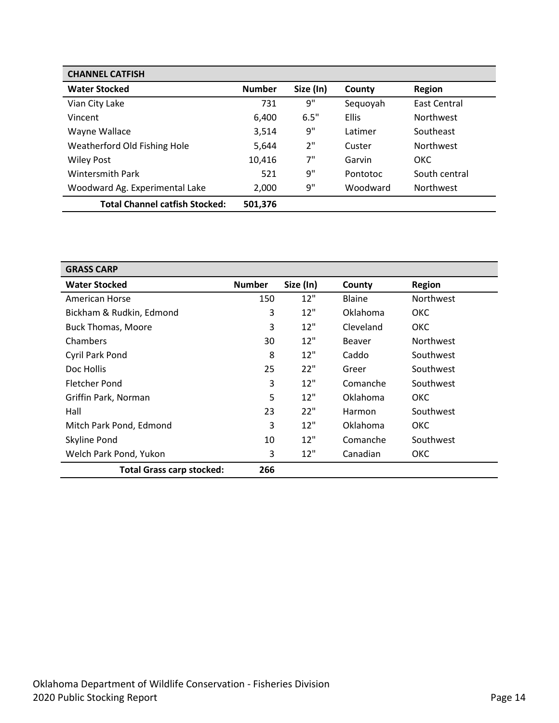| <b>CHANNEL CATFISH</b>                |               |           |              |                     |
|---------------------------------------|---------------|-----------|--------------|---------------------|
| <b>Water Stocked</b>                  | <b>Number</b> | Size (In) | County       | <b>Region</b>       |
| Vian City Lake                        | 731           | 9"        | Sequoyah     | <b>East Central</b> |
| Vincent                               | 6,400         | 6.5"      | <b>Ellis</b> | <b>Northwest</b>    |
| Wayne Wallace                         | 3,514         | 9"        | Latimer      | Southeast           |
| Weatherford Old Fishing Hole          | 5,644         | 2"        | Custer       | <b>Northwest</b>    |
| <b>Wiley Post</b>                     | 10,416        | 7"        | Garvin       | OKC                 |
| <b>Wintersmith Park</b>               | 521           | 9"        | Pontotoc     | South central       |
| Woodward Ag. Experimental Lake        | 2,000         | 9"        | Woodward     | <b>Northwest</b>    |
| <b>Total Channel catfish Stocked:</b> | 501,376       |           |              |                     |

<span id="page-13-0"></span>

| <b>GRASS CARP</b>                |               |           |               |                  |
|----------------------------------|---------------|-----------|---------------|------------------|
| <b>Water Stocked</b>             | <b>Number</b> | Size (In) | County        | <b>Region</b>    |
| American Horse                   | 150           | 12"       | <b>Blaine</b> | <b>Northwest</b> |
| Bickham & Rudkin, Edmond         | 3             | 12"       | Oklahoma      | <b>OKC</b>       |
| <b>Buck Thomas, Moore</b>        | 3             | 12"       | Cleveland     | <b>OKC</b>       |
| Chambers                         | 30            | 12"       | <b>Beaver</b> | <b>Northwest</b> |
| Cyril Park Pond                  | 8             | 12"       | Caddo         | Southwest        |
| Doc Hollis                       | 25            | 22"       | Greer         | Southwest        |
| <b>Fletcher Pond</b>             | 3             | 12"       | Comanche      | Southwest        |
| Griffin Park, Norman             | 5             | 12"       | Oklahoma      | ОКС              |
| Hall                             | 23            | 22"       | Harmon        | Southwest        |
| Mitch Park Pond, Edmond          | 3             | 12"       | Oklahoma      | <b>OKC</b>       |
| Skyline Pond                     | 10            | 12"       | Comanche      | Southwest        |
| Welch Park Pond, Yukon           | 3             | 12"       | Canadian      | <b>OKC</b>       |
| <b>Total Grass carp stocked:</b> | 266           |           |               |                  |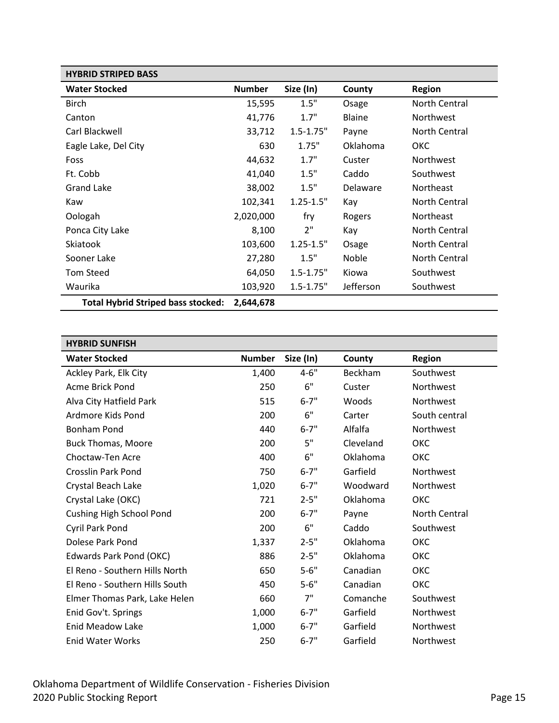<span id="page-14-0"></span>

| <b>HYBRID STRIPED BASS</b>                |               |               |               |                  |
|-------------------------------------------|---------------|---------------|---------------|------------------|
| <b>Water Stocked</b>                      | <b>Number</b> | Size (In)     | County        | <b>Region</b>    |
| <b>Birch</b>                              | 15,595        | 1.5"          | Osage         | North Central    |
| Canton                                    | 41,776        | 1.7"          | <b>Blaine</b> | <b>Northwest</b> |
| Carl Blackwell                            | 33,712        | $1.5 - 1.75"$ | Payne         | North Central    |
| Eagle Lake, Del City                      | 630           | 1.75"         | Oklahoma      | ОКС              |
| Foss                                      | 44,632        | 1.7"          | Custer        | Northwest        |
| Ft. Cobb                                  | 41,040        | 1.5"          | Caddo         | Southwest        |
| <b>Grand Lake</b>                         | 38,002        | 1.5"          | Delaware      | <b>Northeast</b> |
| Kaw                                       | 102,341       | $1.25 - 1.5"$ | Kay           | North Central    |
| Oologah                                   | 2,020,000     | fry           | Rogers        | Northeast        |
| Ponca City Lake                           | 8,100         | 2"            | Kay           | North Central    |
| <b>Skiatook</b>                           | 103,600       | $1.25 - 1.5"$ | Osage         | North Central    |
| Sooner Lake                               | 27,280        | 1.5"          | Noble         | North Central    |
| <b>Tom Steed</b>                          | 64,050        | $1.5 - 1.75"$ | Kiowa         | Southwest        |
| Waurika                                   | 103,920       | $1.5 - 1.75"$ | Jefferson     | Southwest        |
| <b>Total Hybrid Striped bass stocked:</b> | 2,644,678     |               |               |                  |

<span id="page-14-1"></span>

| <b>HYBRID SUNFISH</b>          |               |           |           |               |
|--------------------------------|---------------|-----------|-----------|---------------|
| <b>Water Stocked</b>           | <b>Number</b> | Size (In) | County    | <b>Region</b> |
| Ackley Park, Elk City          | 1,400         | $4 - 6"$  | Beckham   | Southwest     |
| Acme Brick Pond                | 250           | 6"        | Custer    | Northwest     |
| Alva City Hatfield Park        | 515           | $6 - 7"$  | Woods     | Northwest     |
| Ardmore Kids Pond              | 200           | 6"        | Carter    | South central |
| <b>Bonham Pond</b>             | 440           | $6 - 7"$  | Alfalfa   | Northwest     |
| <b>Buck Thomas, Moore</b>      | 200           | 5"        | Cleveland | OKC           |
| Choctaw-Ten Acre               | 400           | 6"        | Oklahoma  | ОКС           |
| Crosslin Park Pond             | 750           | $6 - 7"$  | Garfield  | Northwest     |
| Crystal Beach Lake             | 1,020         | $6 - 7"$  | Woodward  | Northwest     |
| Crystal Lake (OKC)             | 721           | $2 - 5"$  | Oklahoma  | ОКС           |
| Cushing High School Pond       | 200           | $6 - 7"$  | Payne     | North Central |
| Cyril Park Pond                | 200           | 6"        | Caddo     | Southwest     |
| Dolese Park Pond               | 1,337         | $2 - 5"$  | Oklahoma  | ОКС           |
| Edwards Park Pond (OKC)        | 886           | $2 - 5"$  | Oklahoma  | ОКС           |
| El Reno - Southern Hills North | 650           | $5 - 6"$  | Canadian  | ОКС           |
| El Reno - Southern Hills South | 450           | $5 - 6"$  | Canadian  | ОКС           |
| Elmer Thomas Park, Lake Helen  | 660           | 7"        | Comanche  | Southwest     |
| Enid Gov't. Springs            | 1,000         | $6 - 7"$  | Garfield  | Northwest     |
| <b>Enid Meadow Lake</b>        | 1,000         | $6 - 7"$  | Garfield  | Northwest     |
| <b>Enid Water Works</b>        | 250           | $6 - 7"$  | Garfield  | Northwest     |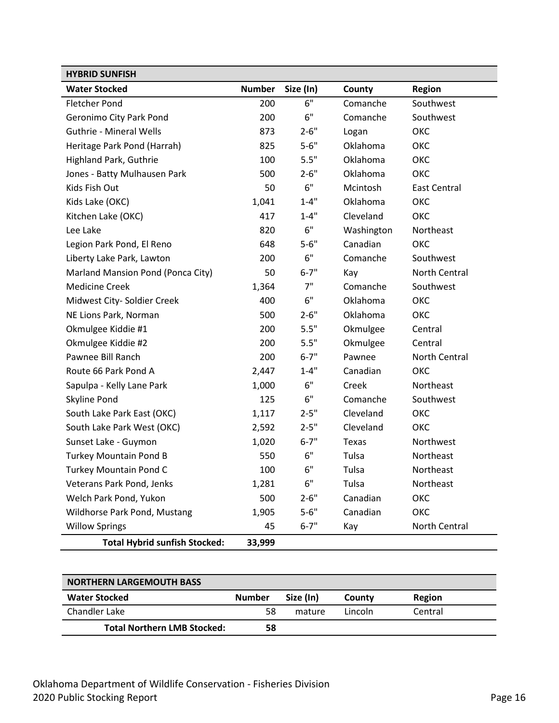| <b>HYBRID SUNFISH</b>                |               |           |            |                     |
|--------------------------------------|---------------|-----------|------------|---------------------|
| <b>Water Stocked</b>                 | <b>Number</b> | Size (In) | County     | <b>Region</b>       |
| <b>Fletcher Pond</b>                 | 200           | 6"        | Comanche   | Southwest           |
| Geronimo City Park Pond              | 200           | 6"        | Comanche   | Southwest           |
| <b>Guthrie - Mineral Wells</b>       | 873           | $2 - 6"$  | Logan      | ОКС                 |
| Heritage Park Pond (Harrah)          | 825           | $5 - 6"$  | Oklahoma   | ОКС                 |
| Highland Park, Guthrie               | 100           | 5.5"      | Oklahoma   | ОКС                 |
| Jones - Batty Mulhausen Park         | 500           | $2 - 6"$  | Oklahoma   | ОКС                 |
| Kids Fish Out                        | 50            | 6"        | Mcintosh   | <b>East Central</b> |
| Kids Lake (OKC)                      | 1,041         | $1 - 4"$  | Oklahoma   | ОКС                 |
| Kitchen Lake (OKC)                   | 417           | $1 - 4"$  | Cleveland  | ОКС                 |
| Lee Lake                             | 820           | 6"        | Washington | Northeast           |
| Legion Park Pond, El Reno            | 648           | $5 - 6"$  | Canadian   | ОКС                 |
| Liberty Lake Park, Lawton            | 200           | 6"        | Comanche   | Southwest           |
| Marland Mansion Pond (Ponca City)    | 50            | $6 - 7"$  | Kay        | North Central       |
| <b>Medicine Creek</b>                | 1,364         | 7"        | Comanche   | Southwest           |
| Midwest City- Soldier Creek          | 400           | 6"        | Oklahoma   | ОКС                 |
| NE Lions Park, Norman                | 500           | $2 - 6"$  | Oklahoma   | ОКС                 |
| Okmulgee Kiddie #1                   | 200           | 5.5"      | Okmulgee   | Central             |
| Okmulgee Kiddie #2                   | 200           | 5.5"      | Okmulgee   | Central             |
| Pawnee Bill Ranch                    | 200           | $6 - 7"$  | Pawnee     | North Central       |
| Route 66 Park Pond A                 | 2,447         | $1 - 4"$  | Canadian   | ОКС                 |
| Sapulpa - Kelly Lane Park            | 1,000         | 6"        | Creek      | Northeast           |
| Skyline Pond                         | 125           | 6"        | Comanche   | Southwest           |
| South Lake Park East (OKC)           | 1,117         | $2 - 5"$  | Cleveland  | ОКС                 |
| South Lake Park West (OKC)           | 2,592         | $2 - 5"$  | Cleveland  | ОКС                 |
| Sunset Lake - Guymon                 | 1,020         | $6 - 7"$  | Texas      | Northwest           |
| <b>Turkey Mountain Pond B</b>        | 550           | 6"        | Tulsa      | Northeast           |
| <b>Turkey Mountain Pond C</b>        | 100           | 6"        | Tulsa      | Northeast           |
| Veterans Park Pond, Jenks            | 1,281         | 6"        | Tulsa      | Northeast           |
| Welch Park Pond, Yukon               | 500           | $2 - 6"$  | Canadian   | ОКС                 |
| Wildhorse Park Pond, Mustang         | 1,905         | $5 - 6"$  | Canadian   | ОКС                 |
| <b>Willow Springs</b>                | 45            | $6 - 7"$  | Kay        | North Central       |
| <b>Total Hybrid sunfish Stocked:</b> | 33,999        |           |            |                     |

<span id="page-15-0"></span>

| <b>NORTHERN LARGEMOUTH BASS</b>    |               |           |         |         |  |
|------------------------------------|---------------|-----------|---------|---------|--|
| <b>Water Stocked</b>               | <b>Number</b> | Size (In) | County  | Region  |  |
| Chandler Lake                      | 58            | mature    | Lincoln | Central |  |
| <b>Total Northern LMB Stocked:</b> | 58            |           |         |         |  |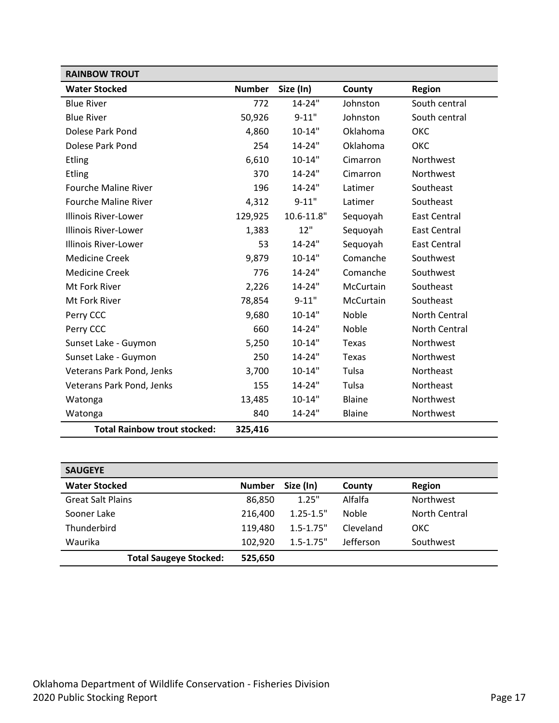<span id="page-16-0"></span>

| <b>RAINBOW TROUT</b>                |               |            |               |                     |
|-------------------------------------|---------------|------------|---------------|---------------------|
| <b>Water Stocked</b>                | <b>Number</b> | Size (In)  | County        | <b>Region</b>       |
| <b>Blue River</b>                   | 772           | $14 - 24"$ | Johnston      | South central       |
| <b>Blue River</b>                   | 50,926        | $9 - 11"$  | Johnston      | South central       |
| Dolese Park Pond                    | 4,860         | $10 - 14"$ | Oklahoma      | ОКС                 |
| Dolese Park Pond                    | 254           | $14 - 24"$ | Oklahoma      | ОКС                 |
| <b>Etling</b>                       | 6,610         | $10 - 14"$ | Cimarron      | Northwest           |
| <b>Etling</b>                       | 370           | 14-24"     | Cimarron      | Northwest           |
| <b>Fourche Maline River</b>         | 196           | 14-24"     | Latimer       | Southeast           |
| <b>Fourche Maline River</b>         | 4,312         | $9 - 11"$  | Latimer       | Southeast           |
| <b>Illinois River-Lower</b>         | 129,925       | 10.6-11.8" | Sequoyah      | <b>East Central</b> |
| <b>Illinois River-Lower</b>         | 1,383         | 12"        | Sequoyah      | <b>East Central</b> |
| <b>Illinois River-Lower</b>         | 53            | $14 - 24"$ | Sequoyah      | <b>East Central</b> |
| <b>Medicine Creek</b>               | 9,879         | $10 - 14"$ | Comanche      | Southwest           |
| <b>Medicine Creek</b>               | 776           | $14 - 24"$ | Comanche      | Southwest           |
| Mt Fork River                       | 2,226         | 14-24"     | McCurtain     | Southeast           |
| Mt Fork River                       | 78,854        | $9 - 11"$  | McCurtain     | Southeast           |
| Perry CCC                           | 9,680         | $10 - 14"$ | Noble         | North Central       |
| Perry CCC                           | 660           | 14-24"     | Noble         | North Central       |
| Sunset Lake - Guymon                | 5,250         | $10 - 14"$ | <b>Texas</b>  | Northwest           |
| Sunset Lake - Guymon                | 250           | 14-24"     | Texas         | Northwest           |
| Veterans Park Pond, Jenks           | 3,700         | $10 - 14"$ | Tulsa         | Northeast           |
| Veterans Park Pond, Jenks           | 155           | 14-24"     | Tulsa         | Northeast           |
| Watonga                             | 13,485        | $10 - 14"$ | Blaine        | Northwest           |
| Watonga                             | 840           | 14-24"     | <b>Blaine</b> | Northwest           |
| <b>Total Rainbow trout stocked:</b> | 325,416       |            |               |                     |

<span id="page-16-1"></span>

| <b>SAUGEYE</b>                |               |               |              |                  |
|-------------------------------|---------------|---------------|--------------|------------------|
| <b>Water Stocked</b>          | <b>Number</b> | Size (In)     | County       | Region           |
| <b>Great Salt Plains</b>      | 86,850        | 1.25"         | Alfalfa      | <b>Northwest</b> |
| Sooner Lake                   | 216,400       | $1.25 - 1.5"$ | <b>Noble</b> | North Central    |
| Thunderbird                   | 119,480       | $1.5 - 1.75"$ | Cleveland    | <b>OKC</b>       |
| Waurika                       | 102,920       | $1.5 - 1.75"$ | Jefferson    | Southwest        |
| <b>Total Saugeye Stocked:</b> | 525,650       |               |              |                  |